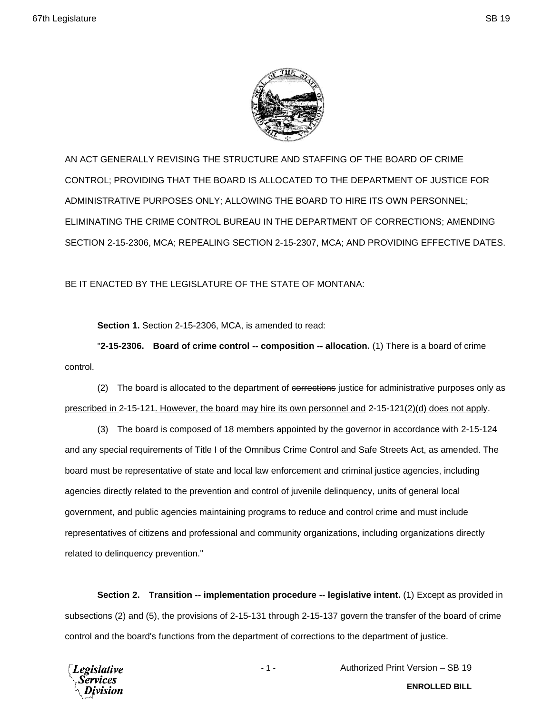

AN ACT GENERALLY REVISING THE STRUCTURE AND STAFFING OF THE BOARD OF CRIME CONTROL; PROVIDING THAT THE BOARD IS ALLOCATED TO THE DEPARTMENT OF JUSTICE FOR ADMINISTRATIVE PURPOSES ONLY; ALLOWING THE BOARD TO HIRE ITS OWN PERSONNEL; ELIMINATING THE CRIME CONTROL BUREAU IN THE DEPARTMENT OF CORRECTIONS; AMENDING SECTION 2-15-2306, MCA; REPEALING SECTION 2-15-2307, MCA; AND PROVIDING EFFECTIVE DATES.

BE IT ENACTED BY THE LEGISLATURE OF THE STATE OF MONTANA:

**Section 1.** Section 2-15-2306, MCA, is amended to read:

"**2-15-2306. Board of crime control -- composition -- allocation.** (1) There is a board of crime control.

(2) The board is allocated to the department of corrections justice for administrative purposes only as prescribed in 2-15-121. However, the board may hire its own personnel and 2-15-121(2)(d) does not apply.

(3) The board is composed of 18 members appointed by the governor in accordance with 2-15-124 and any special requirements of Title I of the Omnibus Crime Control and Safe Streets Act, as amended. The board must be representative of state and local law enforcement and criminal justice agencies, including agencies directly related to the prevention and control of juvenile delinquency, units of general local government, and public agencies maintaining programs to reduce and control crime and must include representatives of citizens and professional and community organizations, including organizations directly related to delinquency prevention."

**Section 2. Transition -- implementation procedure -- legislative intent.** (1) Except as provided in subsections (2) and (5), the provisions of 2-15-131 through 2-15-137 govern the transfer of the board of crime control and the board's functions from the department of corrections to the department of justice.



- 1 - Authorized Print Version – SB 19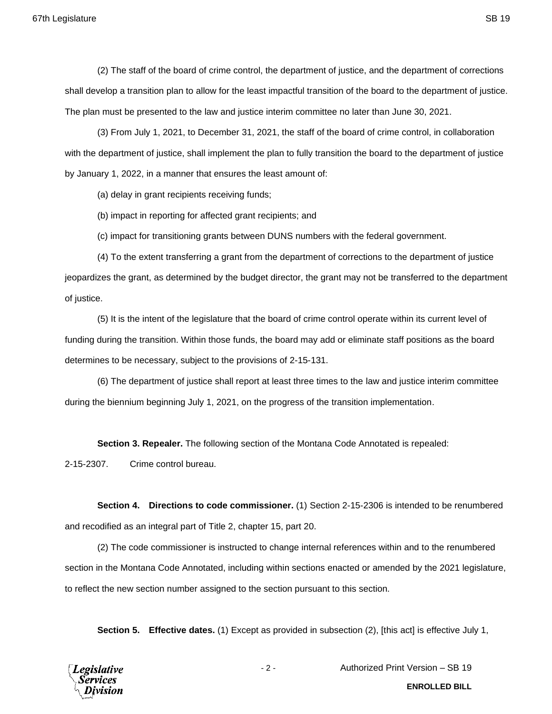(2) The staff of the board of crime control, the department of justice, and the department of corrections shall develop a transition plan to allow for the least impactful transition of the board to the department of justice. The plan must be presented to the law and justice interim committee no later than June 30, 2021.

(3) From July 1, 2021, to December 31, 2021, the staff of the board of crime control, in collaboration with the department of justice, shall implement the plan to fully transition the board to the department of justice by January 1, 2022, in a manner that ensures the least amount of:

(a) delay in grant recipients receiving funds;

(b) impact in reporting for affected grant recipients; and

(c) impact for transitioning grants between DUNS numbers with the federal government.

(4) To the extent transferring a grant from the department of corrections to the department of justice jeopardizes the grant, as determined by the budget director, the grant may not be transferred to the department of justice.

(5) It is the intent of the legislature that the board of crime control operate within its current level of funding during the transition. Within those funds, the board may add or eliminate staff positions as the board determines to be necessary, subject to the provisions of 2-15-131.

(6) The department of justice shall report at least three times to the law and justice interim committee during the biennium beginning July 1, 2021, on the progress of the transition implementation.

**Section 3. Repealer.** The following section of the Montana Code Annotated is repealed:

2-15-2307. Crime control bureau.

**Section 4. Directions to code commissioner.** (1) Section 2-15-2306 is intended to be renumbered and recodified as an integral part of Title 2, chapter 15, part 20.

(2) The code commissioner is instructed to change internal references within and to the renumbered section in the Montana Code Annotated, including within sections enacted or amended by the 2021 legislature, to reflect the new section number assigned to the section pursuant to this section.

**Section 5. Effective dates.** (1) Except as provided in subsection (2), [this act] is effective July 1,



- 2 - Authorized Print Version – SB 19

**ENROLLED BILL**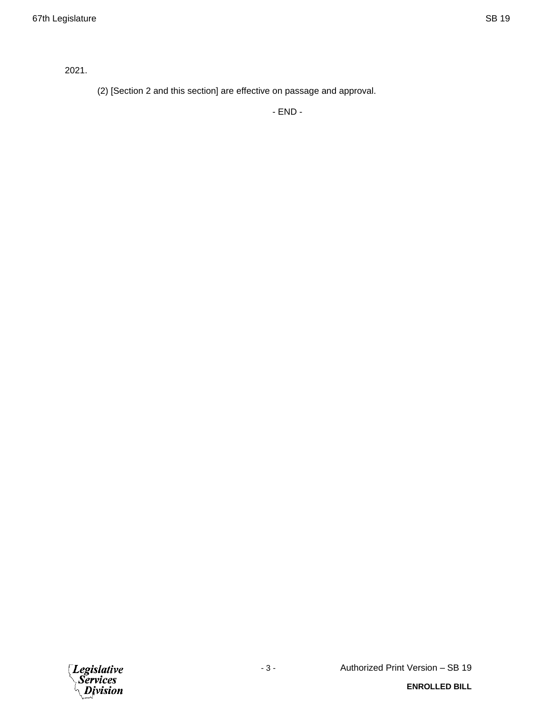2021.

(2) [Section 2 and this section] are effective on passage and approval.

- END -

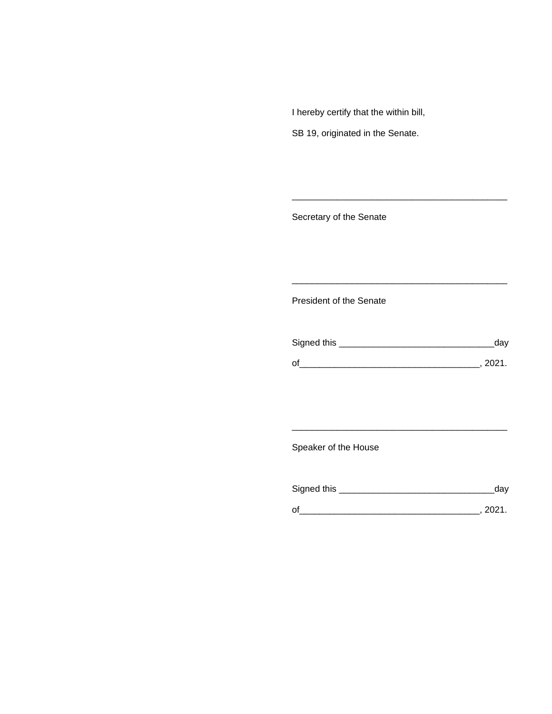I hereby certify that the within bill,

SB 19, originated in the Senate.

Secretary of the Senate

President of the Senate

| Signed this |      |
|-------------|------|
|             |      |
|             | ≀מ∩פ |

\_\_\_\_\_\_\_\_\_\_\_\_\_\_\_\_\_\_\_\_\_\_\_\_\_\_\_\_\_\_\_\_\_\_\_\_\_\_\_\_\_\_\_

\_\_\_\_\_\_\_\_\_\_\_\_\_\_\_\_\_\_\_\_\_\_\_\_\_\_\_\_\_\_\_\_\_\_\_\_\_\_\_\_\_\_\_

\_\_\_\_\_\_\_\_\_\_\_\_\_\_\_\_\_\_\_\_\_\_\_\_\_\_\_\_\_\_\_\_\_\_\_\_\_\_\_\_\_\_\_

Speaker of the House

| Signed this | dav  |
|-------------|------|
|             | 2021 |